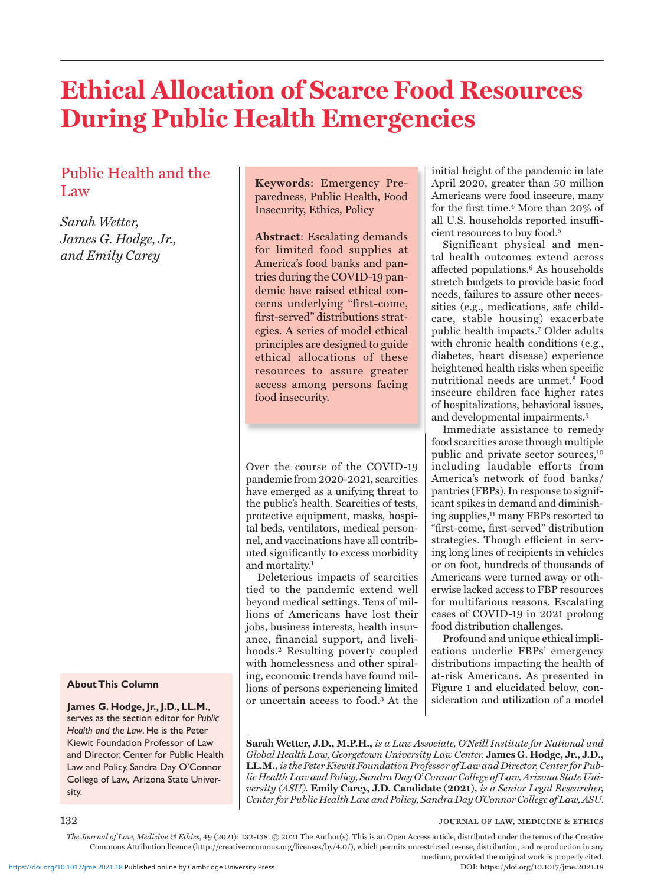# **Ethical Allocation of Scarce Food Resources During Public Health Emergencies**

# Public Health and the Law

*Sarah Wetter, James G. Hodge, Jr., and Emily Carey* 

#### **About This Column**

**James G. Hodge, Jr., J.D., LL.M.**, serves as the section editor for *Public Health and the Law*. He is the Peter Kiewit Foundation Professor of Law and Director, Center for Public Health Law and Policy, Sandra Day O'Connor College of Law, Arizona State University.

**Keywords**: Emergency Preparedness, Public Health, Food Insecurity, Ethics, Policy

**Abstract**: Escalating demands for limited food supplies at America's food banks and pantries during the COVID-19 pandemic have raised ethical concerns underlying "first-come, first-served" distributions strategies. A series of model ethical principles are designed to guide ethical allocations of these resources to assure greater access among persons facing food insecurity.

Over the course of the COVID-19 pandemic from 2020-2021, scarcities have emerged as a unifying threat to the public's health. Scarcities of tests, protective equipment, masks, hospital beds, ventilators, medical personnel, and vaccinations have all contributed significantly to excess morbidity and mortality.1

Deleterious impacts of scarcities tied to the pandemic extend well beyond medical settings. Tens of millions of Americans have lost their jobs, business interests, health insurance, financial support, and livelihoods.2 Resulting poverty coupled with homelessness and other spiraling, economic trends have found millions of persons experiencing limited or uncertain access to food.3 At the initial height of the pandemic in late April 2020, greater than 50 million Americans were food insecure, many for the first time.<sup>4</sup> More than 20% of all U.S. households reported insufficient resources to buy food.5

Significant physical and mental health outcomes extend across affected populations.<sup>6</sup> As households stretch budgets to provide basic food needs, failures to assure other necessities (e.g., medications, safe childcare, stable housing) exacerbate public health impacts.7 Older adults with chronic health conditions (e.g., diabetes, heart disease) experience heightened health risks when specific nutritional needs are unmet.8 Food insecure children face higher rates of hospitalizations, behavioral issues, and developmental impairments.9

Immediate assistance to remedy food scarcities arose through multiple public and private sector sources,<sup>10</sup> including laudable efforts from America's network of food banks/ pantries (FBPs). In response to significant spikes in demand and diminishing supplies,11 many FBPs resorted to "first-come, first-served" distribution strategies. Though efficient in serving long lines of recipients in vehicles or on foot, hundreds of thousands of Americans were turned away or otherwise lacked access to FBP resources for multifarious reasons. Escalating cases of COVID-19 in 2021 prolong food distribution challenges.

Profound and unique ethical implications underlie FBPs' emergency distributions impacting the health of at-risk Americans. As presented in Figure 1 and elucidated below, consideration and utilization of a model

**Sarah Wetter, J.D., M.P.H.,** *is a Law Associate, O'Neill Institute for National and Global Health Law, Georgetown University Law Center.* **James G. Hodge, Jr., J.D., LL.M.,** *is the Peter Kiewit Foundation Professor of Law and Director, Center for Public Health Law and Policy, Sandra Day O' Connor College of Law, Arizona State University (ASU).* **Emily Carey, J.D. Candidate (2021),** *is a Senior Legal Researcher, Center for Public Health Law and Policy, Sandra Day O'Connor College of Law, ASU.*

132 **journal of law, medicine & ethics journal of law, medicine & ethics** 

*The Journal of Law, Medicine & Ethics,* 49 (2021): 132-138. © 2021 The Author(s). This is an Open Access article, distributed under the terms of the Creative Commons Attribution licence (http://creativecommons.org/licenses/by/4.0/), which permits unrestricted re-use, distribution, and reproduction in any medium, provided the original work is properly cited.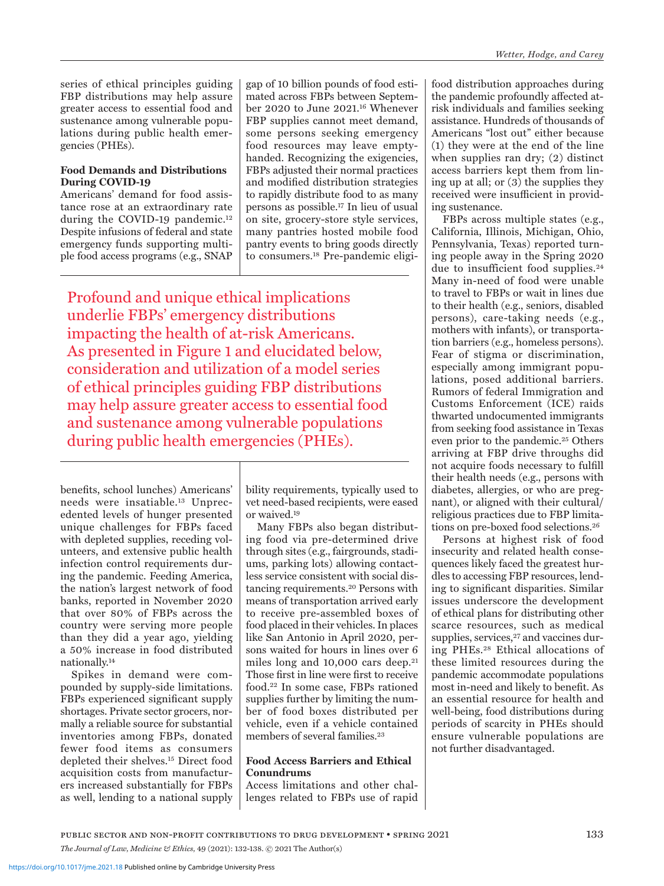series of ethical principles guiding FBP distributions may help assure greater access to essential food and sustenance among vulnerable populations during public health emergencies (PHEs).

### **Food Demands and Distributions During COVID-19**

Americans' demand for food assistance rose at an extraordinary rate during the COVID-19 pandemic.12 Despite infusions of federal and state emergency funds supporting multiple food access programs (e.g., SNAP

gap of 10 billion pounds of food estimated across FBPs between September 2020 to June 2021.16 Whenever FBP supplies cannot meet demand, some persons seeking emergency food resources may leave emptyhanded. Recognizing the exigencies, FBPs adjusted their normal practices and modified distribution strategies to rapidly distribute food to as many persons as possible.17 In lieu of usual on site, grocery-store style services, many pantries hosted mobile food pantry events to bring goods directly to consumers.18 Pre-pandemic eligi-

Profound and unique ethical implications underlie FBPs' emergency distributions impacting the health of at-risk Americans. As presented in Figure 1 and elucidated below, consideration and utilization of a model series of ethical principles guiding FBP distributions may help assure greater access to essential food and sustenance among vulnerable populations during public health emergencies (PHEs).

benefits, school lunches) Americans' needs were insatiable.13 Unprecedented levels of hunger presented unique challenges for FBPs faced with depleted supplies, receding volunteers, and extensive public health infection control requirements during the pandemic. Feeding America, the nation's largest network of food banks, reported in November 2020 that over 80% of FBPs across the country were serving more people than they did a year ago, yielding a 50% increase in food distributed nationally.14

Spikes in demand were compounded by supply-side limitations. FBPs experienced significant supply shortages. Private sector grocers, normally a reliable source for substantial inventories among FBPs, donated fewer food items as consumers depleted their shelves.15 Direct food acquisition costs from manufacturers increased substantially for FBPs as well, lending to a national supply

bility requirements, typically used to vet need-based recipients, were eased or waived.19

Many FBPs also began distributing food via pre-determined drive through sites (e.g., fairgrounds, stadiums, parking lots) allowing contactless service consistent with social distancing requirements.20 Persons with means of transportation arrived early to receive pre-assembled boxes of food placed in their vehicles. In places like San Antonio in April 2020, persons waited for hours in lines over 6 miles long and 10,000 cars deep.21 Those first in line were first to receive food.22 In some case, FBPs rationed supplies further by limiting the number of food boxes distributed per vehicle, even if a vehicle contained members of several families.<sup>23</sup>

#### **Food Access Barriers and Ethical Conundrums**

Access limitations and other challenges related to FBPs use of rapid

food distribution approaches during the pandemic profoundly affected atrisk individuals and families seeking assistance. Hundreds of thousands of Americans "lost out" either because (1) they were at the end of the line when supplies ran dry; (2) distinct access barriers kept them from lining up at all; or (3) the supplies they received were insufficient in providing sustenance.

FBPs across multiple states (e.g., California, Illinois, Michigan, Ohio, Pennsylvania, Texas) reported turning people away in the Spring 2020 due to insufficient food supplies.24 Many in-need of food were unable to travel to FBPs or wait in lines due to their health (e.g., seniors, disabled persons), care-taking needs (e.g., mothers with infants), or transportation barriers (e.g., homeless persons). Fear of stigma or discrimination, especially among immigrant populations, posed additional barriers. Rumors of federal Immigration and Customs Enforcement (ICE) raids thwarted undocumented immigrants from seeking food assistance in Texas even prior to the pandemic.<sup>25</sup> Others arriving at FBP drive throughs did not acquire foods necessary to fulfill their health needs (e.g., persons with diabetes, allergies, or who are pregnant), or aligned with their cultural/ religious practices due to FBP limitations on pre-boxed food selections.<sup>26</sup>

Persons at highest risk of food insecurity and related health consequences likely faced the greatest hurdles to accessing FBP resources, lending to significant disparities. Similar issues underscore the development of ethical plans for distributing other scarce resources, such as medical supplies, services,<sup>27</sup> and vaccines during PHEs.28 Ethical allocations of these limited resources during the pandemic accommodate populations most in-need and likely to benefit. As an essential resource for health and well-being, food distributions during periods of scarcity in PHEs should ensure vulnerable populations are not further disadvantaged.

public sector and non-profit contributions to drug development • spring 2021 133 *The Journal of Law, Medicine & Ethics,* 49 (2021): 132-138. © 2021 The Author(s)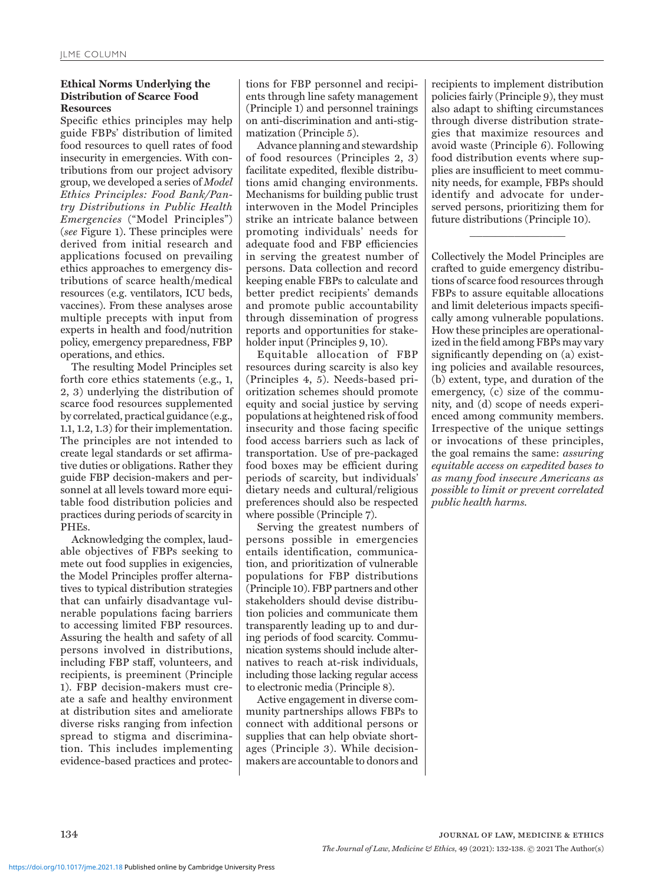### **Ethical Norms Underlying the Distribution of Scarce Food Resources**

Specific ethics principles may help guide FBPs' distribution of limited food resources to quell rates of food insecurity in emergencies. With contributions from our project advisory group, we developed a series of *Model Ethics Principles: Food Bank/Pantry Distributions in Public Health Emergencies* ("Model Principles") (*see* Figure 1). These principles were derived from initial research and applications focused on prevailing ethics approaches to emergency distributions of scarce health/medical resources (e.g. ventilators, ICU beds, vaccines). From these analyses arose multiple precepts with input from experts in health and food/nutrition policy, emergency preparedness, FBP operations, and ethics.

The resulting Model Principles set forth core ethics statements (e.g., 1, 2, 3) underlying the distribution of scarce food resources supplemented by correlated, practical guidance (e.g., 1.1, 1.2, 1.3) for their implementation. The principles are not intended to create legal standards or set affirmative duties or obligations. Rather they guide FBP decision-makers and personnel at all levels toward more equitable food distribution policies and practices during periods of scarcity in PHEs.

Acknowledging the complex, laudable objectives of FBPs seeking to mete out food supplies in exigencies, the Model Principles proffer alternatives to typical distribution strategies that can unfairly disadvantage vulnerable populations facing barriers to accessing limited FBP resources. Assuring the health and safety of all persons involved in distributions, including FBP staff, volunteers, and recipients, is preeminent (Principle 1). FBP decision-makers must create a safe and healthy environment at distribution sites and ameliorate diverse risks ranging from infection spread to stigma and discrimination. This includes implementing evidence-based practices and protections for FBP personnel and recipients through line safety management (Principle 1) and personnel trainings on anti-discrimination and anti-stigmatization (Principle 5).

Advance planning and stewardship of food resources (Principles 2, 3) facilitate expedited, flexible distributions amid changing environments. Mechanisms for building public trust interwoven in the Model Principles strike an intricate balance between promoting individuals' needs for adequate food and FBP efficiencies in serving the greatest number of persons. Data collection and record keeping enable FBPs to calculate and better predict recipients' demands and promote public accountability through dissemination of progress reports and opportunities for stakeholder input (Principles 9, 10).

Equitable allocation of FBP resources during scarcity is also key (Principles 4, 5). Needs-based prioritization schemes should promote equity and social justice by serving populations at heightened risk of food insecurity and those facing specific food access barriers such as lack of transportation. Use of pre-packaged food boxes may be efficient during periods of scarcity, but individuals' dietary needs and cultural/religious preferences should also be respected where possible (Principle 7).

Serving the greatest numbers of persons possible in emergencies entails identification, communication, and prioritization of vulnerable populations for FBP distributions (Principle 10). FBP partners and other stakeholders should devise distribution policies and communicate them transparently leading up to and during periods of food scarcity. Communication systems should include alternatives to reach at-risk individuals, including those lacking regular access to electronic media (Principle 8).

Active engagement in diverse community partnerships allows FBPs to connect with additional persons or supplies that can help obviate shortages (Principle 3). While decisionmakers are accountable to donors and recipients to implement distribution policies fairly (Principle 9), they must also adapt to shifting circumstances through diverse distribution strategies that maximize resources and avoid waste (Principle 6). Following food distribution events where supplies are insufficient to meet community needs, for example, FBPs should identify and advocate for underserved persons, prioritizing them for future distributions (Principle 10).

 $\overline{\phantom{a}}$  , which is the set of the set of the set of the set of the set of the set of the set of the set of the set of the set of the set of the set of the set of the set of the set of the set of the set of the set of

Collectively the Model Principles are crafted to guide emergency distributions of scarce food resources through FBPs to assure equitable allocations and limit deleterious impacts specifically among vulnerable populations. How these principles are operationalized in the field among FBPs may vary significantly depending on (a) existing policies and available resources, (b) extent, type, and duration of the emergency, (c) size of the community, and (d) scope of needs experienced among community members. Irrespective of the unique settings or invocations of these principles, the goal remains the same: *assuring equitable access on expedited bases to as many food insecure Americans as possible to limit or prevent correlated public health harms.*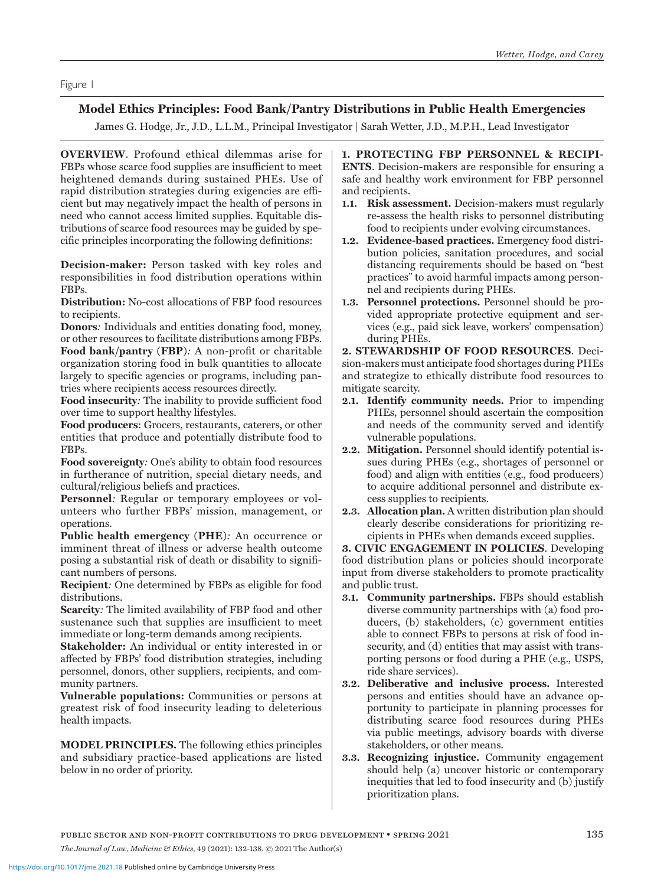# **Model Ethics Principles: Food Bank/Pantry Distributions in Public Health Emergencies**

James G. Hodge, Jr., J.D., L.L.M., Principal Investigator | Sarah Wetter, J.D., M.P.H., Lead Investigator

**OVERVIEW**. Profound ethical dilemmas arise for FBPs whose scarce food supplies are insufficient to meet heightened demands during sustained PHEs. Use of rapid distribution strategies during exigencies are efficient but may negatively impact the health of persons in need who cannot access limited supplies. Equitable distributions of scarce food resources may be guided by specific principles incorporating the following definitions:

**Decision-maker:** Person tasked with key roles and responsibilities in food distribution operations within FBPs.

**Distribution:** No-cost allocations of FBP food resources to recipients.

**Donors***:* Individuals and entities donating food, money, or other resources to facilitate distributions among FBPs. **Food bank/pantry (FBP)***:* A non-profit or charitable organization storing food in bulk quantities to allocate largely to specific agencies or programs, including pantries where recipients access resources directly.

**Food insecurity***:* The inability to provide sufficient food over time to support healthy lifestyles.

**Food producers**: Grocers, restaurants, caterers, or other entities that produce and potentially distribute food to FBPs.

**Food sovereignty***:* One's ability to obtain food resources in furtherance of nutrition, special dietary needs, and cultural/religious beliefs and practices.

**Personnel***:* Regular or temporary employees or volunteers who further FBPs' mission, management, or operations.

**Public health emergency (PHE)***:* An occurrence or imminent threat of illness or adverse health outcome posing a substantial risk of death or disability to significant numbers of persons.

**Recipient***:* One determined by FBPs as eligible for food distributions.

**Scarcity***:* The limited availability of FBP food and other sustenance such that supplies are insufficient to meet immediate or long-term demands among recipients.

**Stakeholder:** An individual or entity interested in or affected by FBPs' food distribution strategies, including personnel, donors, other suppliers, recipients, and community partners.

**Vulnerable populations:** Communities or persons at greatest risk of food insecurity leading to deleterious health impacts.

**MODEL PRINCIPLES.** The following ethics principles and subsidiary practice-based applications are listed below in no order of priority.

**1. PROTECTING FBP PERSONNEL & RECIPI-ENTS**. Decision-makers are responsible for ensuring a safe and healthy work environment for FBP personnel and recipients.

- **1.1. Risk assessment.** Decision-makers must regularly re-assess the health risks to personnel distributing food to recipients under evolving circumstances.
- **1.2. Evidence-based practices.** Emergency food distribution policies, sanitation procedures, and social distancing requirements should be based on "best practices" to avoid harmful impacts among personnel and recipients during PHEs.
- **1.3. Personnel protections.** Personnel should be provided appropriate protective equipment and services (e.g., paid sick leave, workers' compensation) during PHEs.

**2. STEWARDSHIP OF FOOD RESOURCES**. Decision-makers must anticipate food shortages during PHEs and strategize to ethically distribute food resources to mitigate scarcity.

- **2.1. Identify community needs.** Prior to impending PHEs, personnel should ascertain the composition and needs of the community served and identify vulnerable populations.
- **2.2. Mitigation.** Personnel should identify potential issues during PHEs (e.g., shortages of personnel or food) and align with entities (e.g., food producers) to acquire additional personnel and distribute excess supplies to recipients.
- **2.3. Allocation plan.** A written distribution plan should clearly describe considerations for prioritizing recipients in PHEs when demands exceed supplies.

**3. CIVIC ENGAGEMENT IN POLICIES**. Developing food distribution plans or policies should incorporate input from diverse stakeholders to promote practicality and public trust.

- **3.1. Community partnerships.** FBPs should establish diverse community partnerships with (a) food producers, (b) stakeholders, (c) government entities able to connect FBPs to persons at risk of food insecurity, and (d) entities that may assist with transporting persons or food during a PHE (e.g., USPS, ride share services).
- **3.2. Deliberative and inclusive process.** Interested persons and entities should have an advance opportunity to participate in planning processes for distributing scarce food resources during PHEs via public meetings, advisory boards with diverse stakeholders, or other means.
- **3.3. Recognizing injustice.** Community engagement should help (a) uncover historic or contemporary inequities that led to food insecurity and (b) justify prioritization plans.

public sector and non-profit contributions to drug development • spring 2021 135 *The Journal of Law, Medicine & Ethics,* 49 (2021): 132-138. © 2021 The Author(s)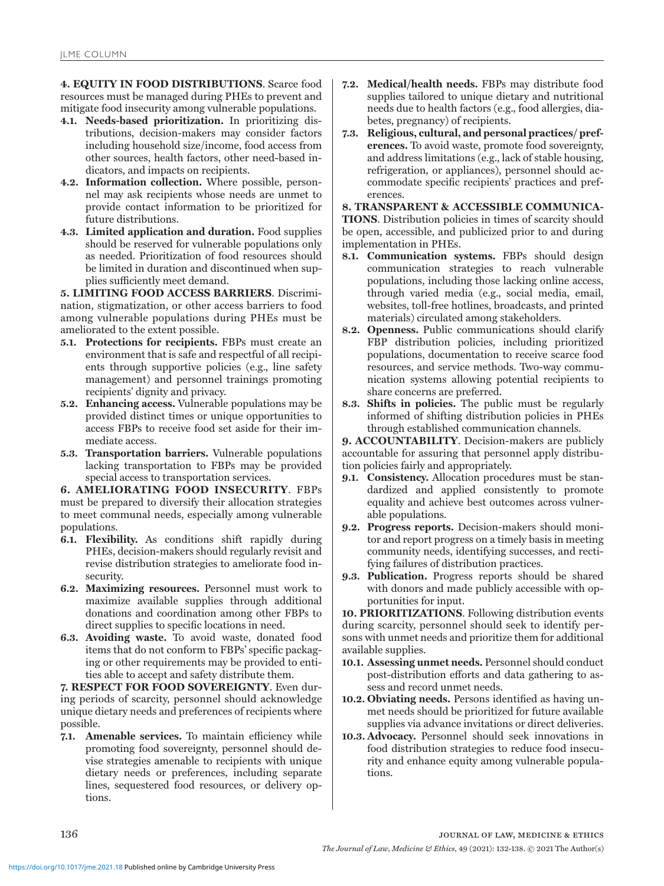**4. EQUITY IN FOOD DISTRIBUTIONS**. Scarce food resources must be managed during PHEs to prevent and mitigate food insecurity among vulnerable populations.

- **4.1. Needs-based prioritization.** In prioritizing distributions, decision-makers may consider factors including household size/income, food access from other sources, health factors, other need-based indicators, and impacts on recipients.
- **4.2. Information collection.** Where possible, personnel may ask recipients whose needs are unmet to provide contact information to be prioritized for future distributions.
- **4.3. Limited application and duration.** Food supplies should be reserved for vulnerable populations only as needed. Prioritization of food resources should be limited in duration and discontinued when supplies sufficiently meet demand.

**5. LIMITING FOOD ACCESS BARRIERS**. Discrimination, stigmatization, or other access barriers to food among vulnerable populations during PHEs must be ameliorated to the extent possible.

- **5.1. Protections for recipients.** FBPs must create an environment that is safe and respectful of all recipients through supportive policies (e.g., line safety management) and personnel trainings promoting recipients' dignity and privacy.
- **5.2. Enhancing access.** Vulnerable populations may be provided distinct times or unique opportunities to access FBPs to receive food set aside for their immediate access.
- **5.3. Transportation barriers.** Vulnerable populations lacking transportation to FBPs may be provided special access to transportation services.

**6. AMELIORATING FOOD INSECURITY**. FBPs must be prepared to diversify their allocation strategies to meet communal needs, especially among vulnerable populations.

- **6.1. Flexibility.** As conditions shift rapidly during PHEs, decision-makers should regularly revisit and revise distribution strategies to ameliorate food insecurity.
- **6.2. Maximizing resources.** Personnel must work to maximize available supplies through additional donations and coordination among other FBPs to direct supplies to specific locations in need.
- **6.3. Avoiding waste.** To avoid waste, donated food items that do not conform to FBPs' specific packaging or other requirements may be provided to entities able to accept and safety distribute them.

**7. RESPECT FOR FOOD SOVEREIGNTY**. Even during periods of scarcity, personnel should acknowledge unique dietary needs and preferences of recipients where possible.

**7.1. Amenable services.** To maintain efficiency while promoting food sovereignty, personnel should devise strategies amenable to recipients with unique dietary needs or preferences, including separate lines, sequestered food resources, or delivery options.

- **7.2. Medical/health needs.** FBPs may distribute food supplies tailored to unique dietary and nutritional needs due to health factors (e.g., food allergies, diabetes, pregnancy) of recipients.
- **7.3. Religious, cultural, and personal practices/ preferences.** To avoid waste, promote food sovereignty, and address limitations (e.g., lack of stable housing, refrigeration, or appliances), personnel should accommodate specific recipients' practices and preferences.

**8. TRANSPARENT & ACCESSIBLE COMMUNICA-TIONS**. Distribution policies in times of scarcity should be open, accessible, and publicized prior to and during implementation in PHEs.

- **8.1. Communication systems.** FBPs should design communication strategies to reach vulnerable populations, including those lacking online access, through varied media (e.g., social media, email, websites, toll-free hotlines, broadcasts, and printed materials) circulated among stakeholders.
- **8.2. Openness.** Public communications should clarify FBP distribution policies, including prioritized populations, documentation to receive scarce food resources, and service methods. Two-way communication systems allowing potential recipients to share concerns are preferred.
- **8.3. Shifts in policies.** The public must be regularly informed of shifting distribution policies in PHEs through established communication channels.

**9. ACCOUNTABILITY**. Decision-makers are publicly accountable for assuring that personnel apply distribution policies fairly and appropriately.

- **9.1. Consistency.** Allocation procedures must be standardized and applied consistently to promote equality and achieve best outcomes across vulnerable populations.
- **9.2. Progress reports.** Decision-makers should monitor and report progress on a timely basis in meeting community needs, identifying successes, and rectifying failures of distribution practices.
- **9.3. Publication.** Progress reports should be shared with donors and made publicly accessible with opportunities for input.

**10. PRIORITIZATIONS**. Following distribution events during scarcity, personnel should seek to identify persons with unmet needs and prioritize them for additional available supplies.

- **10.1. Assessing unmet needs.** Personnel should conduct post-distribution efforts and data gathering to assess and record unmet needs.
- **10.2. Obviating needs.** Persons identified as having unmet needs should be prioritized for future available supplies via advance invitations or direct deliveries.
- **10.3. Advocacy.** Personnel should seek innovations in food distribution strategies to reduce food insecurity and enhance equity among vulnerable populations.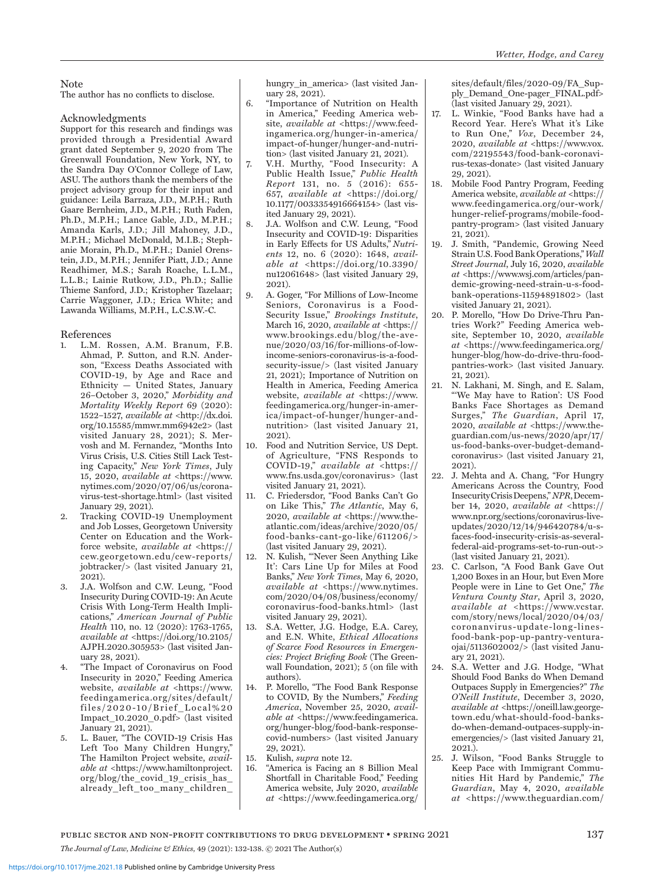#### **Note**

The author has no conflicts to disclose.

## Acknowledgments

Support for this research and findings was provided through a Presidential Award grant dated September 9, 2020 from The Greenwall Foundation, New York, NY, to the Sandra Day O'Connor College of Law, ASU. The authors thank the members of the project advisory group for their input and guidance: Leila Barraza, J.D., M.P.H.; Ruth Gaare Bernheim, J.D., M.P.H.; Ruth Faden, Ph.D., M.P.H.; Lance Gable, J.D., M.P.H.; Amanda Karls, J.D.; Jill Mahoney, J.D., M.P.H.; Michael McDonald, M.I.B.; Stephanie Morain, Ph.D., M.P.H.; Daniel Orenstein, J.D., M.P.H.; Jennifer Piatt, J.D.; Anne Readhimer, M.S.; Sarah Roache, L.L.M., L.L.B.; Lainie Rutkow, J.D., Ph.D.; Sallie Thieme Sanford, J.D.; Kristopher Tazelaar; Carrie Waggoner, J.D.; Erica White; and Lawanda Williams, M.P.H., L.C.S.W.-C.

#### References

- 1. L.M. Rossen, A.M. Branum, F.B. Ahmad, P. Sutton, and R.N. Anderson, "Excess Deaths Associated with COVID-19, by Age and Race and Ethnicity — United States, January 26–October 3, 2020," *Morbidity and Mortality Weekly Report* 69 (2020): 1522–1527, *available at* <http://dx.doi. org/10.15585/mmwr.mm6942e2> (last visited January 28, 2021); S. Mervosh and M. Fernandez, "Months Into Virus Crisis, U.S. Cities Still Lack Testing Capacity," *New York Times*, July 15, 2020, *available at* <https://www. nytimes.com/2020/07/06/us/coronavirus-test-shortage.html> (last visited January 29, 2021).
- Tracking COVID-19 Unemployment and Job Losses, Georgetown University Center on Education and the Workforce website, *available at* <https:// cew.georgetown.edu/cew-reports/ jobtracker/> (last visited January 21, 2021).
- 3. J.A. Wolfson and C.W. Leung, "Food Insecurity During COVID-19: An Acute Crisis With Long-Term Health Implications," *American Journal of Public Health* 110, no. 12 (2020): 1763-1765, *available at* <https://doi.org/10.2105/ AJPH.2020.305953> (last visited January 28, 2021).
- 4. "The Impact of Coronavirus on Food Insecurity in 2020," Feeding America website, *available at* <https://www. feedingamerica.org/sites/default/ files/2020-10/Brief\_Local%20 Impact\_10.2020\_0.pdf> (last visited January 21, 2021).
- 5. L. Bauer, "The COVID-19 Crisis Has Left Too Many Children Hungry," The Hamilton Project website, *available at* <https://www.hamiltonproject. org/blog/the\_covid\_19\_crisis\_has\_ already\_left\_too\_many\_children\_

hungry in america> (last visited January 28, 2021).

- 6. "Importance of Nutrition on Health in America," Feeding America website, *available at* <https://www.feedingamerica.org/hunger-in-america/ impact-of-hunger/hunger-and-nutrition> (last visited January 21, 2021).
- 7. V.H. Murthy, "Food Insecurity: A Public Health Issue," *Public Health Report* 131, no. 5 (2016): 655- 657, *available at* <https://doi.org/ 10.1177/0033354916664154> (last visited January 29, 2021).
- 8. J.A. Wolfson and C.W. Leung, "Food Insecurity and COVID-19: Disparities in Early Effects for US Adults," *Nutrients* 12, no. 6 (2020): 1648, *available at* <https://doi.org/10.3390/ nu12061648> (last visited January 29, 2021).
- 9. A. Goger, "For Millions of Low-Income Seniors, Coronavirus is a Food-Security Issue," *Brookings Institute*, March 16, 2020, *available at* <https:// www.brookings.edu/blog/the-avenue/2020/03/16/for-millions-of-lowincome-seniors-coronavirus-is-a-foodsecurity-issue/> (last visited January 21, 2021); Importance of Nutrition on Health in America, Feeding America website, *available at* <https://www. feedingamerica.org/hunger-in-america/impact-of-hunger/hunger-andnutrition> (last visited January 21, 2021).
- 10. Food and Nutrition Service, US Dept. of Agriculture, "FNS Responds to COVID-19," *available at* <https:// www.fns.usda.gov/coronavirus> (last visited January 21, 2021).
- 11. C. Friedersdor, "Food Banks Can't Go on Like This," *The Atlantic*, May 6, 2020, *available at* <https://www.theatlantic.com/ideas/archive/2020/05/ food-banks-cant-go-like/611206/> (last visited January 29, 2021).
- 12. N. Kulish, "'Never Seen Anything Like It': Cars Line Up for Miles at Food Banks," *New York Times*, May 6, 2020, *available at* <https://www.nytimes. com/2020/04/08/business/economy/ coronavirus-food-banks.html> (last visited January 29, 2021).
- 13. S.A. Wetter, J.G. Hodge, E.A. Carey, and E.N. White, *Ethical Allocations of Scarce Food Resources in Emergencies: Project Briefing Book* (The Greenwall Foundation, 2021); 5 (on file with authors).
- 14. P. Morello, "The Food Bank Response to COVID, By the Numbers," *Feeding America*, November 25, 2020, *available at* <https://www.feedingamerica. org/hunger-blog/food-bank-responsecovid-numbers> (last visited January 29, 2021).
- 15. Kulish, *supra* note 12. 16. "America is Facing an 8 Billion Meal
- Shortfall in Charitable Food," Feeding America website, July 2020, *available at* <https://www.feedingamerica.org/

sites/default/files/2020-09/FA\_Supply\_Demand\_One-pager\_FINAL.pdf> (last visited January 29, 2021).

- 17. L. Winkie, "Food Banks have had a Record Year. Here's What it's Like to Run One," *Vox*, December 24, 2020, *available at* <https://www.vox. com/22195543/food-bank-coronavirus-texas-donate> (last visited January 29, 2021).
- 18. Mobile Food Pantry Program, Feeding America website, *available at* <https:// www.feedingamerica.org/our-work/ hunger-relief-programs/mobile-foodpantry-program> (last visited January 21, 2021).
- 19. J. Smith, "Pandemic, Growing Need Strain U.S. Food Bank Operations," *Wall Street Journal*, July 16, 2020, *available at* <https://www.wsj.com/articles/pandemic-growing-need-strain-u-s-foodbank-operations-11594891802> (last visited January 21, 2021).
- 20. P. Morello, "How Do Drive-Thru Pantries Work?" Feeding America website, September 10, 2020, *available at* <https://www.feedingamerica.org/ hunger-blog/how-do-drive-thru-foodpantries-work> (last visited January. 21, 2021).
- 21. N. Lakhani, M. Singh, and E. Salam, "'We May have to Ration': US Food Banks Face Shortages as Demand Surges," *The Guardian*, April 17, 2020, *available at* <https://www.theguardian.com/us-news/2020/apr/17/ us-food-banks-over-budget-demandcoronavirus> (last visited January 21, 2021).
- 22. J. Mehta and A. Chang, "For Hungry Americans Across the Country, Food Insecurity Crisis Deepens," *NPR*,December 14, 2020, *available at* <https:// www.npr.org/sections/coronavirus-liveupdates/2020/12/14/946420784/u-sfaces-food-insecurity-crisis-as-severalfederal-aid-programs-set-to-run-out-> (last visited January 21, 2021).
- 23. C. Carlson, "A Food Bank Gave Out 1,200 Boxes in an Hour, but Even More People were in Line to Get One," *The Ventura County Star*, April 3, 2020, *available at* <https://www.vcstar. com/story/news/local/2020/04/03/ coronanvirus-update-long-linesfood-bank-pop-up-pantry-venturaojai/5113602002/ $>$  (last visited January 21, 2021).
- 24. S.A. Wetter and J.G. Hodge, "What Should Food Banks do When Demand Outpaces Supply in Emergencies?" *The O'Neill Institute*, December 3, 2020, *available at* <https://oneill.law.georgetown.edu/what-should-food-banksdo-when-demand-outpaces-supply-inemergencies/> (last visited January 21, 2021.).
- 25. J. Wilson, "Food Banks Struggle to Keep Pace with Immigrant Communities Hit Hard by Pandemic," *The Guardian*, May 4, 2020, *available at* <https://www.theguardian.com/

public sector and non-profit contributions to drug development • spring 2021 137 *The Journal of Law, Medicine & Ethics,* 49 (2021): 132-138. © 2021 The Author(s)